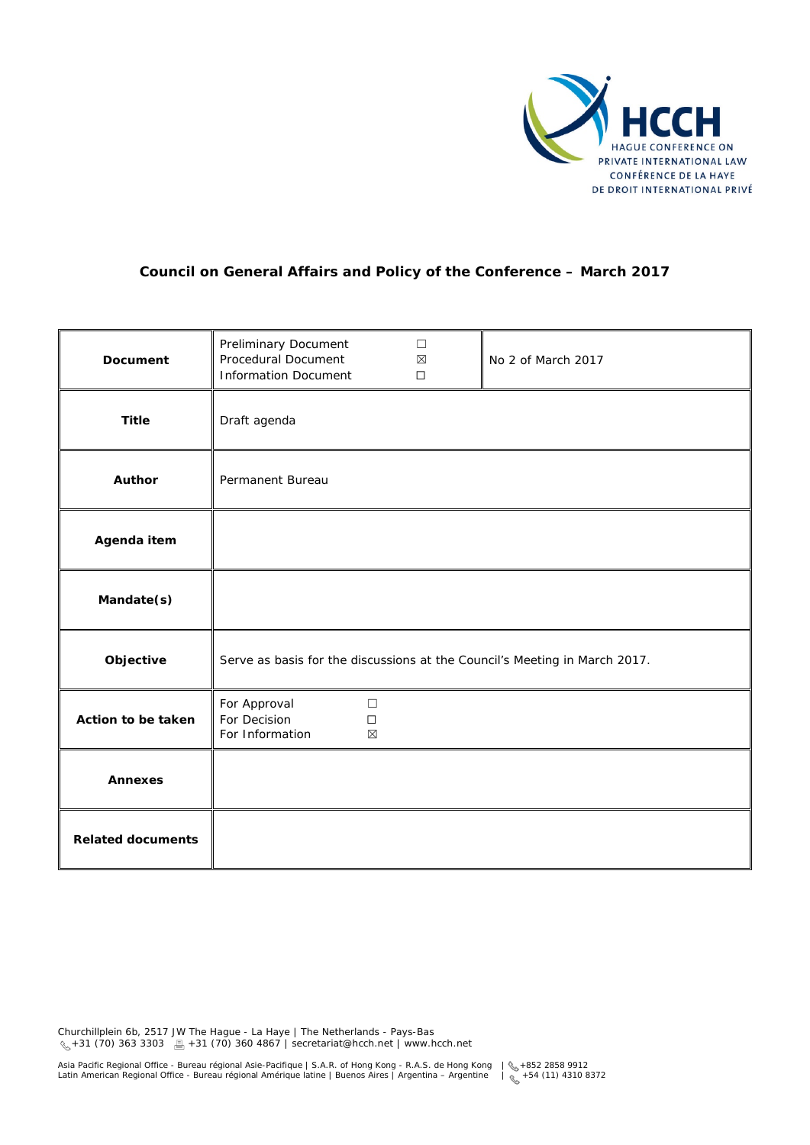

# **Council on General Affairs and Policy of the Conference – March 2017**

| <b>Document</b>          | Preliminary Document<br>Procedural Document<br><b>Information Document</b> | $\Box$<br>$\boxtimes$<br>$\Box$ | No 2 of March 2017 |
|--------------------------|----------------------------------------------------------------------------|---------------------------------|--------------------|
| <b>Title</b>             | Draft agenda                                                               |                                 |                    |
| <b>Author</b>            | Permanent Bureau                                                           |                                 |                    |
| Agenda item              |                                                                            |                                 |                    |
| Mandate(s)               |                                                                            |                                 |                    |
| Objective                | Serve as basis for the discussions at the Council's Meeting in March 2017. |                                 |                    |
| Action to be taken       | For Approval<br>$\Box$<br>For Decision<br>$\Box$<br>For Information<br>⊠   |                                 |                    |
| <b>Annexes</b>           |                                                                            |                                 |                    |
| <b>Related documents</b> |                                                                            |                                 |                    |

Churchillplein 6b, 2517 JW The Hague - La Haye | The Netherlands - Pays-Bas +31 (70) 363 3303 +31 (70) 360 4867 | secretariat@hcch.net | www.hcch.net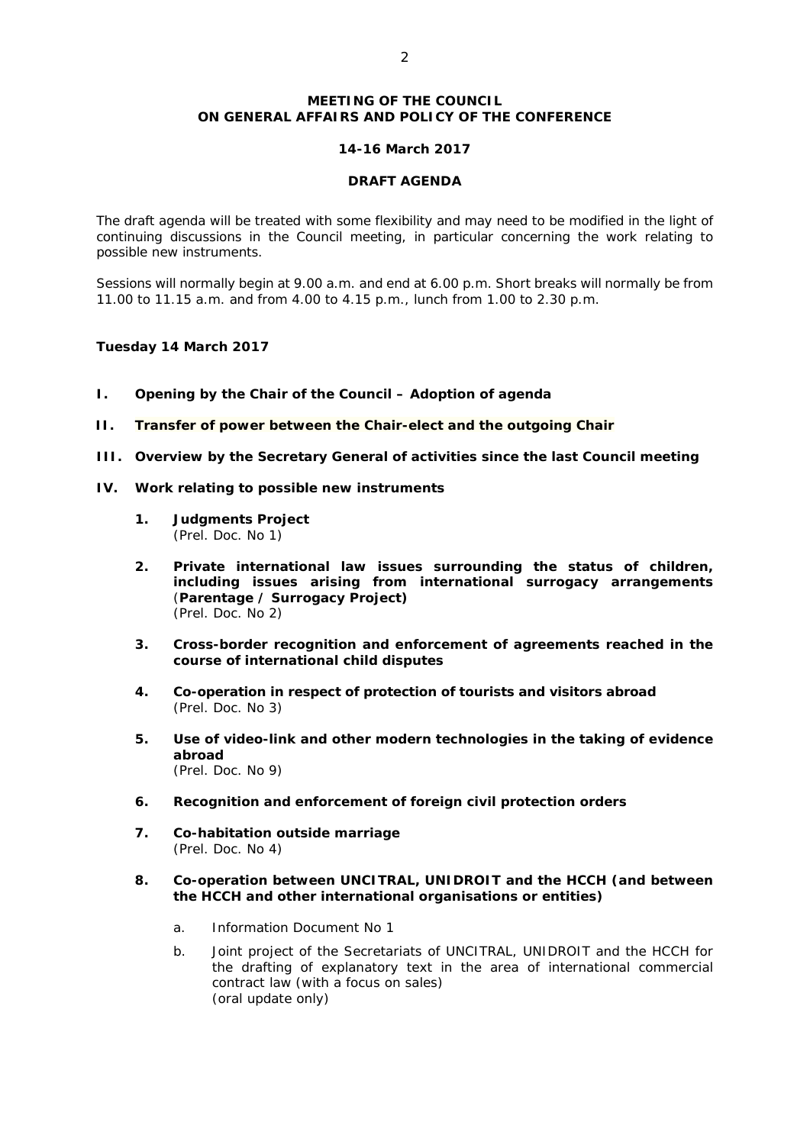### **MEETING OF THE COUNCIL ON GENERAL AFFAIRS AND POLICY OF THE CONFERENCE**

### *14-16 March 2017*

#### **DRAFT AGENDA**

The draft agenda will be treated with some flexibility and may need to be modified in the light of continuing discussions in the Council meeting, in particular concerning the work relating to possible new instruments.

Sessions will normally begin at 9.00 a.m. and end at 6.00 p.m. Short breaks will normally be from 11.00 to 11.15 a.m. and from 4.00 to 4.15 p.m., lunch from 1.00 to 2.30 p.m.

### *Tuesday 14 March 2017*

- **I. Opening by the Chair of the Council – Adoption of agenda**
- **II. Transfer of power between the Chair-elect and the outgoing Chair**
- **III. Overview by the Secretary General of activities since the last Council meeting**
- **IV. Work relating to possible new instruments**
	- **1. Judgments Project** *(Prel. Doc. No 1)*
	- **2. Private international law issues surrounding the status of children, including issues arising from international surrogacy arrangements**  (**Parentage / Surrogacy Project)** *(Prel. Doc. No 2)*
	- **3. Cross-border recognition and enforcement of agreements reached in the course of international child disputes**
	- **4. Co-operation in respect of protection of tourists and visitors abroad**  *(Prel. Doc. No 3)*
	- **5. Use of video-link and other modern technologies in the taking of evidence abroad** *(Prel. Doc. No 9)*
	- **6. Recognition and enforcement of foreign civil protection orders**
	- **7. Co-habitation outside marriage** *(Prel. Doc. No 4)*

### **8. Co-operation between UNCITRAL, UNIDROIT and the HCCH (and between the HCCH and other international organisations or entities)**

- a. Information Document No 1
- b. Joint project of the Secretariats of UNCITRAL, UNIDROIT and the HCCH for the drafting of explanatory text in the area of international commercial contract law (with a focus on sales) *(oral update only)*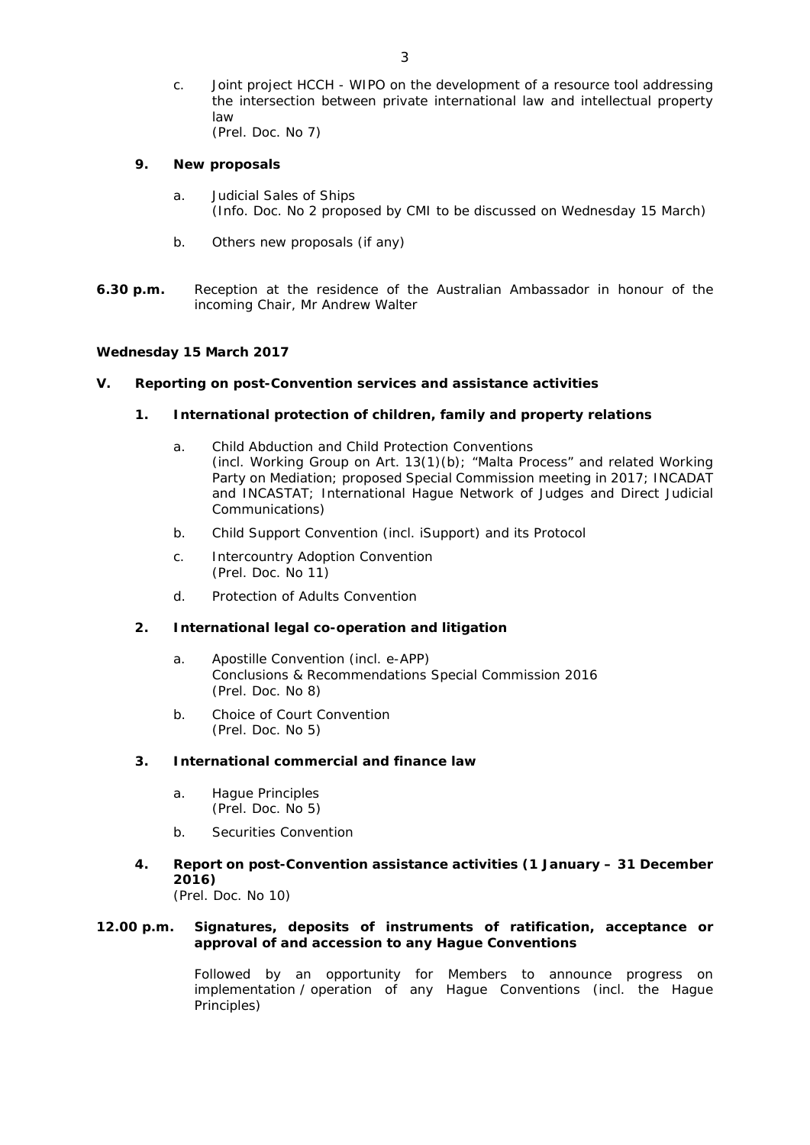c. Joint project HCCH - WIPO on the development of a resource tool addressing the intersection between private international law and intellectual property law *(Prel. Doc. No 7)*

### **9. New proposals**

- a. Judicial Sales of Ships (*Info. Doc. No 2* proposed by CMI to be discussed on Wednesday 15 March)
- b. Others new proposals (if any)
- **6.30 p.m.** *Reception at the residence of the Australian Ambassador in honour of the incoming Chair, Mr Andrew Walter*

#### *Wednesday 15 March 2017*

# **V. Reporting on post-Convention services and assistance activities**

### **1. [International protection of children, family and property relations](http://www.hcch.net/index_en.php?act=text.display&tid=10#family)**

- a. Child Abduction and Child Protection Conventions (incl. Working Group on Art. 13(1)(b); "Malta Process" and related Working Party on Mediation; proposed Special Commission meeting in 2017; INCADAT and INCASTAT; International Hague Network of Judges and Direct Judicial Communications)
- b. Child Support Convention (incl. iSupport) and its Protocol
- c. Intercountry Adoption Convention *(Prel. Doc. No 11)*
- d. Protection of Adults Convention

#### **2. [International legal co-operation and litigation](http://www.hcch.net/index_en.php?act=text.display&tid=10#litigation)**

- a. Apostille Convention (incl. e-APP) Conclusions & Recommendations Special Commission 2016 (*Prel. Doc. No 8*)
- b. Choice of Court Convention *(Prel. Doc. No 5)*

### **3. International commercial and finance law**

- a. Hague Principles *(Prel. Doc. No 5)*
- b. Securities Convention
- **4. Report on post-Convention assistance activities (1 January – 31 December 2016)**

*(Prel. Doc. No 10)*

#### **12.00 p.m.** *Signatures, deposits of instruments of ratification, acceptance or approval of and accession to any Hague Conventions*

Followed by an opportunity for Members to announce progress on implementation / operation of any Hague Conventions (incl. the Hague Principles)